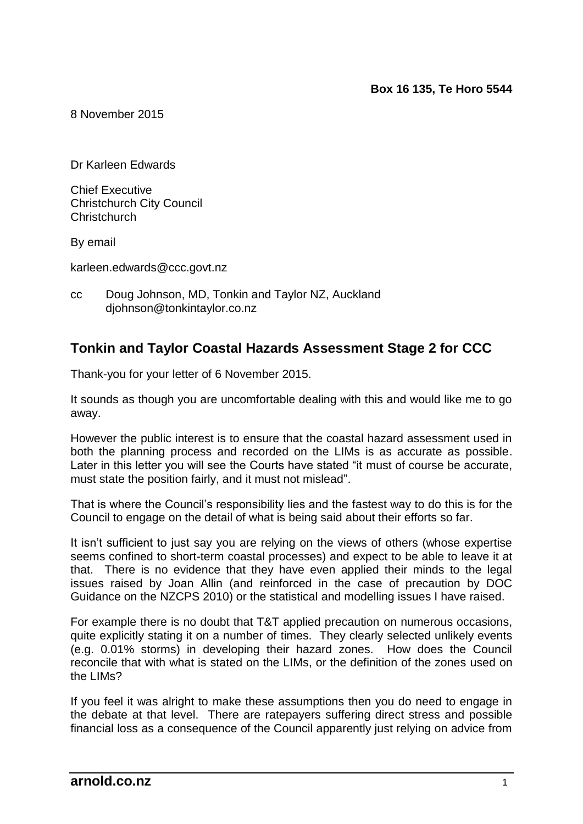8 November 2015

Dr Karleen Edwards

Chief Executive Christchurch City Council **Christchurch** 

By email

karleen.edwards@ccc.govt.nz

cc Doug Johnson, MD, Tonkin and Taylor NZ, Auckland djohnson@tonkintaylor.co.nz

## **Tonkin and Taylor Coastal Hazards Assessment Stage 2 for CCC**

Thank-you for your letter of 6 November 2015.

It sounds as though you are uncomfortable dealing with this and would like me to go away.

However the public interest is to ensure that the coastal hazard assessment used in both the planning process and recorded on the LIMs is as accurate as possible. Later in this letter you will see the Courts have stated "it must of course be accurate, must state the position fairly, and it must not mislead".

That is where the Council's responsibility lies and the fastest way to do this is for the Council to engage on the detail of what is being said about their efforts so far.

It isn't sufficient to just say you are relying on the views of others (whose expertise seems confined to short-term coastal processes) and expect to be able to leave it at that. There is no evidence that they have even applied their minds to the legal issues raised by Joan Allin (and reinforced in the case of precaution by DOC Guidance on the NZCPS 2010) or the statistical and modelling issues I have raised.

For example there is no doubt that T&T applied precaution on numerous occasions, quite explicitly stating it on a number of times. They clearly selected unlikely events (e.g. 0.01% storms) in developing their hazard zones. How does the Council reconcile that with what is stated on the LIMs, or the definition of the zones used on the LIMs?

If you feel it was alright to make these assumptions then you do need to engage in the debate at that level. There are ratepayers suffering direct stress and possible financial loss as a consequence of the Council apparently just relying on advice from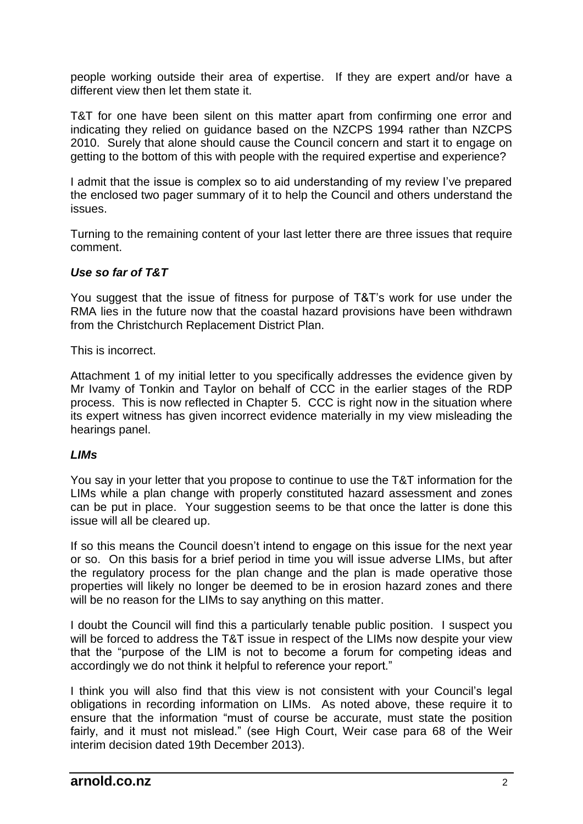people working outside their area of expertise. If they are expert and/or have a different view then let them state it.

T&T for one have been silent on this matter apart from confirming one error and indicating they relied on guidance based on the NZCPS 1994 rather than NZCPS 2010. Surely that alone should cause the Council concern and start it to engage on getting to the bottom of this with people with the required expertise and experience?

I admit that the issue is complex so to aid understanding of my review I've prepared the enclosed two pager summary of it to help the Council and others understand the issues.

Turning to the remaining content of your last letter there are three issues that require comment.

## *Use so far of T&T*

You suggest that the issue of fitness for purpose of T&T's work for use under the RMA lies in the future now that the coastal hazard provisions have been withdrawn from the Christchurch Replacement District Plan.

This is incorrect.

Attachment 1 of my initial letter to you specifically addresses the evidence given by Mr Ivamy of Tonkin and Taylor on behalf of CCC in the earlier stages of the RDP process. This is now reflected in Chapter 5. CCC is right now in the situation where its expert witness has given incorrect evidence materially in my view misleading the hearings panel.

## *LIMs*

You say in your letter that you propose to continue to use the T&T information for the LIMs while a plan change with properly constituted hazard assessment and zones can be put in place. Your suggestion seems to be that once the latter is done this issue will all be cleared up.

If so this means the Council doesn't intend to engage on this issue for the next year or so. On this basis for a brief period in time you will issue adverse LIMs, but after the regulatory process for the plan change and the plan is made operative those properties will likely no longer be deemed to be in erosion hazard zones and there will be no reason for the LIMs to say anything on this matter.

I doubt the Council will find this a particularly tenable public position. I suspect you will be forced to address the T&T issue in respect of the LIMs now despite your view that the "purpose of the LIM is not to become a forum for competing ideas and accordingly we do not think it helpful to reference your report."

I think you will also find that this view is not consistent with your Council's legal obligations in recording information on LIMs. As noted above, these require it to ensure that the information "must of course be accurate, must state the position fairly, and it must not mislead." (see High Court, Weir case para 68 of the Weir interim decision dated 19th December 2013).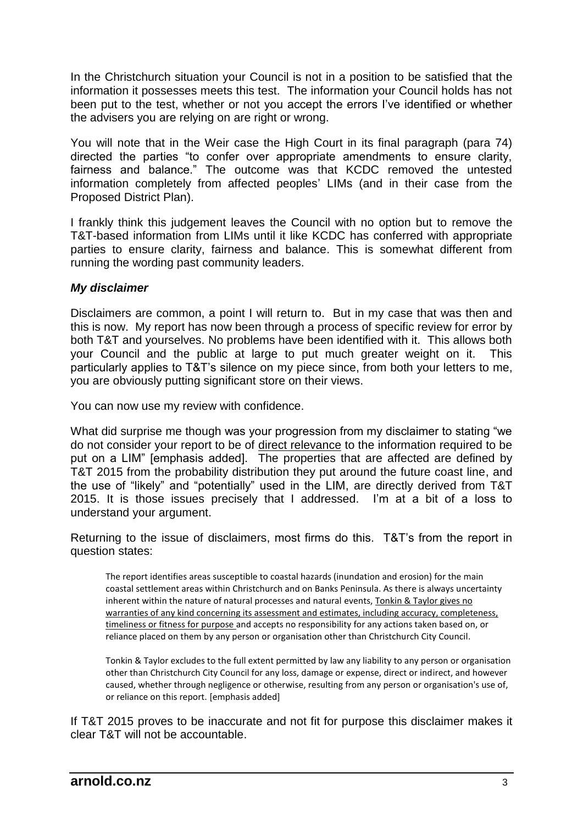In the Christchurch situation your Council is not in a position to be satisfied that the information it possesses meets this test. The information your Council holds has not been put to the test, whether or not you accept the errors I've identified or whether the advisers you are relying on are right or wrong.

You will note that in the Weir case the High Court in its final paragraph (para 74) directed the parties "to confer over appropriate amendments to ensure clarity, fairness and balance." The outcome was that KCDC removed the untested information completely from affected peoples' LIMs (and in their case from the Proposed District Plan).

I frankly think this judgement leaves the Council with no option but to remove the T&T-based information from LIMs until it like KCDC has conferred with appropriate parties to ensure clarity, fairness and balance. This is somewhat different from running the wording past community leaders.

## *My disclaimer*

Disclaimers are common, a point I will return to. But in my case that was then and this is now. My report has now been through a process of specific review for error by both T&T and yourselves. No problems have been identified with it. This allows both your Council and the public at large to put much greater weight on it. This particularly applies to T&T's silence on my piece since, from both your letters to me, you are obviously putting significant store on their views.

You can now use my review with confidence.

What did surprise me though was your progression from my disclaimer to stating "we do not consider your report to be of direct relevance to the information required to be put on a LIM" [emphasis added]. The properties that are affected are defined by T&T 2015 from the probability distribution they put around the future coast line, and the use of "likely" and "potentially" used in the LIM, are directly derived from T&T 2015. It is those issues precisely that I addressed. I'm at a bit of a loss to understand your argument.

Returning to the issue of disclaimers, most firms do this. T&T's from the report in question states:

The report identifies areas susceptible to coastal hazards (inundation and erosion) for the main coastal settlement areas within Christchurch and on Banks Peninsula. As there is always uncertainty inherent within the nature of natural processes and natural events, Tonkin & Taylor gives no warranties of any kind concerning its assessment and estimates, including accuracy, completeness, timeliness or fitness for purpose and accepts no responsibility for any actions taken based on, or reliance placed on them by any person or organisation other than Christchurch City Council.

Tonkin & Taylor excludes to the full extent permitted by law any liability to any person or organisation other than Christchurch City Council for any loss, damage or expense, direct or indirect, and however caused, whether through negligence or otherwise, resulting from any person or organisation's use of, or reliance on this report. [emphasis added]

If T&T 2015 proves to be inaccurate and not fit for purpose this disclaimer makes it clear T&T will not be accountable.